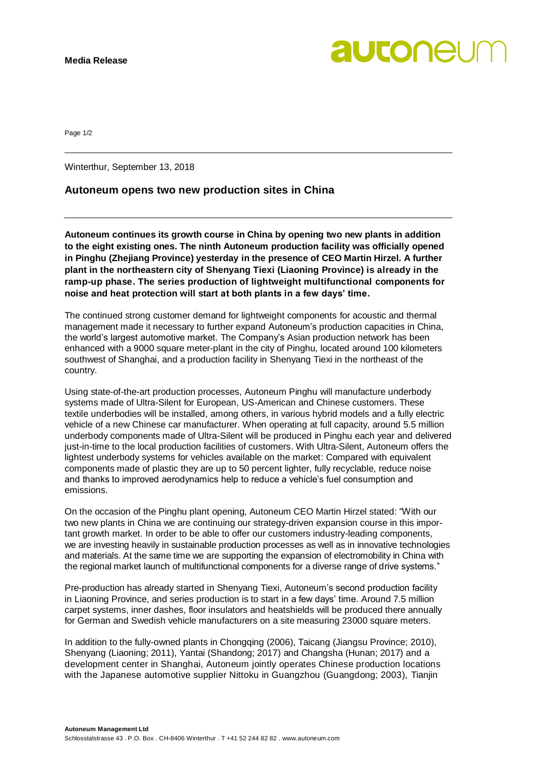**autonel** 

Page 1/2

Winterthur, September 13, 2018

### **Autoneum opens two new production sites in China**

**Autoneum continues its growth course in China by opening two new plants in addition to the eight existing ones. The ninth Autoneum production facility was officially opened in Pinghu (Zhejiang Province) yesterday in the presence of CEO Martin Hirzel. A further plant in the northeastern city of Shenyang Tiexi (Liaoning Province) is already in the ramp-up phase. The series production of lightweight multifunctional components for noise and heat protection will start at both plants in a few days' time.**

The continued strong customer demand for lightweight components for acoustic and thermal management made it necessary to further expand Autoneum's production capacities in China, the world's largest automotive market. The Company's Asian production network has been enhanced with a 9000 square meter-plant in the city of Pinghu, located around 100 kilometers southwest of Shanghai, and a production facility in Shenyang Tiexi in the northeast of the country.

Using state-of-the-art production processes, Autoneum Pinghu will manufacture underbody systems made of Ultra-Silent for European, US-American and Chinese customers. These textile underbodies will be installed, among others, in various hybrid models and a fully electric vehicle of a new Chinese car manufacturer. When operating at full capacity, around 5.5 million underbody components made of Ultra-Silent will be produced in Pinghu each year and delivered just-in-time to the local production facilities of customers. With Ultra-Silent, Autoneum offers the lightest underbody systems for vehicles available on the market: Compared with equivalent components made of plastic they are up to 50 percent lighter, fully recyclable, reduce noise and thanks to improved aerodynamics help to reduce a vehicle's fuel consumption and emissions.

On the occasion of the Pinghu plant opening, Autoneum CEO Martin Hirzel stated: "With our two new plants in China we are continuing our strategy-driven expansion course in this important growth market. In order to be able to offer our customers industry-leading components, we are investing heavily in sustainable production processes as well as in innovative technologies and materials. At the same time we are supporting the expansion of electromobility in China with the regional market launch of multifunctional components for a diverse range of drive systems."

Pre-production has already started in Shenyang Tiexi, Autoneum's second production facility in Liaoning Province, and series production is to start in a few days' time. Around 7.5 million carpet systems, inner dashes, floor insulators and heatshields will be produced there annually for German and Swedish vehicle manufacturers on a site measuring 23000 square meters.

In addition to the fully-owned plants in Chongqing (2006), Taicang (Jiangsu Province; 2010), Shenyang (Liaoning; 2011), Yantai (Shandong; 2017) and Changsha (Hunan; 2017) and a development center in Shanghai, Autoneum jointly operates Chinese production locations with the Japanese automotive supplier Nittoku in Guangzhou (Guangdong; 2003), Tianjin